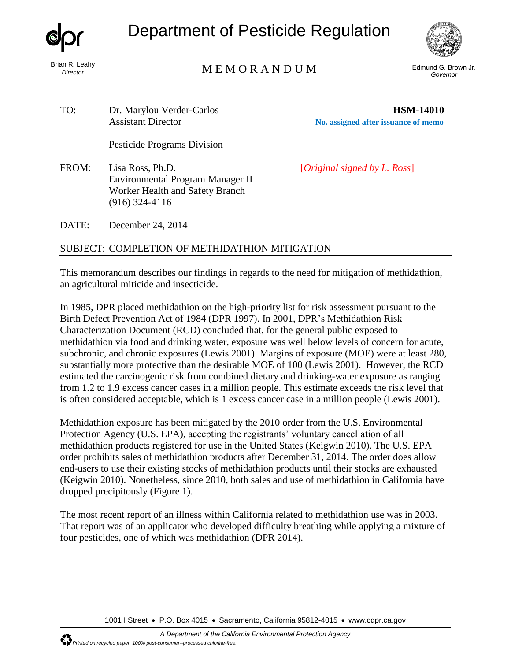

Brian R. Leahy *Director*

Department of Pesticide Regulation



Edmund G. Brown Jr. M E M O R A N D U M *Governor*

TO: Dr. Marylou Verder-Carlos **HSM-14010** Assistant Director **No. assigned after issuance of memo**

Pesticide Programs Division

FROM: Lisa Ross, Ph.D. [*Original signed by L. Ross*] Environmental Program Manager II Worker Health and Safety Branch (916) 324-4116

DATE: December 24, 2014

SUBJECT: COMPLETION OF METHIDATHION MITIGATION

This memorandum describes our findings in regards to the need for mitigation of methidathion, an agricultural miticide and insecticide.

In 1985, DPR placed methidathion on the high-priority list for risk assessment pursuant to the Birth Defect Prevention Act of 1984 (DPR 1997). In 2001, DPR's Methidathion Risk Characterization Document (RCD) concluded that, for the general public exposed to methidathion via food and drinking water, exposure was well below levels of concern for acute, subchronic, and chronic exposures (Lewis 2001). Margins of exposure (MOE) were at least 280, substantially more protective than the desirable MOE of 100 (Lewis 2001). However, the RCD estimated the carcinogenic risk from combined dietary and drinking-water exposure as ranging from 1.2 to 1.9 excess cancer cases in a million people. This estimate exceeds the risk level that is often considered acceptable, which is 1 excess cancer case in a million people (Lewis 2001).

Methidathion exposure has been mitigated by the 2010 order from the U.S. Environmental Protection Agency (U.S. EPA), accepting the registrants' voluntary cancellation of all methidathion products registered for use in the United States (Keigwin 2010). The U.S. EPA order prohibits sales of methidathion products after December 31, 2014. The order does allow end-users to use their existing stocks of methidathion products until their stocks are exhausted (Keigwin 2010). Nonetheless, since 2010, both sales and use of methidathion in California have dropped precipitously (Figure 1).

The most recent report of an illness within California related to methidathion use was in 2003. That report was of an applicator who developed difficulty breathing while applying a mixture of four pesticides, one of which was methidathion (DPR 2014).

1001 I Street • P.O. Box 4015 • Sacramento, California 95812-4015 • [www.cdpr.ca.gov](http://www.cdpr.ca.gov/)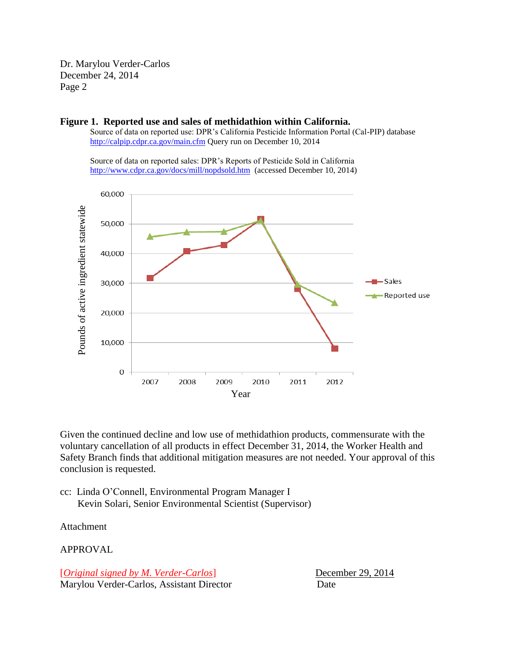Dr. Marylou Verder-Carlos December 24, 2014 Page 2



**Figure 1. Reported use and sales of methidathion within California.**

Source of data on reported use: DPR's California Pesticide Information Portal (Cal-PIP) database <http://calpip.cdpr.ca.gov/main.cfm> Query run on December 10, 2014

Source of data on reported sales: DPR's Reports of Pesticide Sold in California <http://www.cdpr.ca.gov/docs/mill/nopdsold.htm>(accessed December 10, 2014)

Given the continued decline and low use of methidathion products, commensurate with the voluntary cancellation of all products in effect December 31, 2014, the Worker Health and Safety Branch finds that additional mitigation measures are not needed. Your approval of this conclusion is requested.

cc: Linda O'Connell, Environmental Program Manager I Kevin Solari, Senior Environmental Scientist (Supervisor)

Attachment

APPROVAL

[*Original signed by M. Verder-Carlos*] December 29, 2014